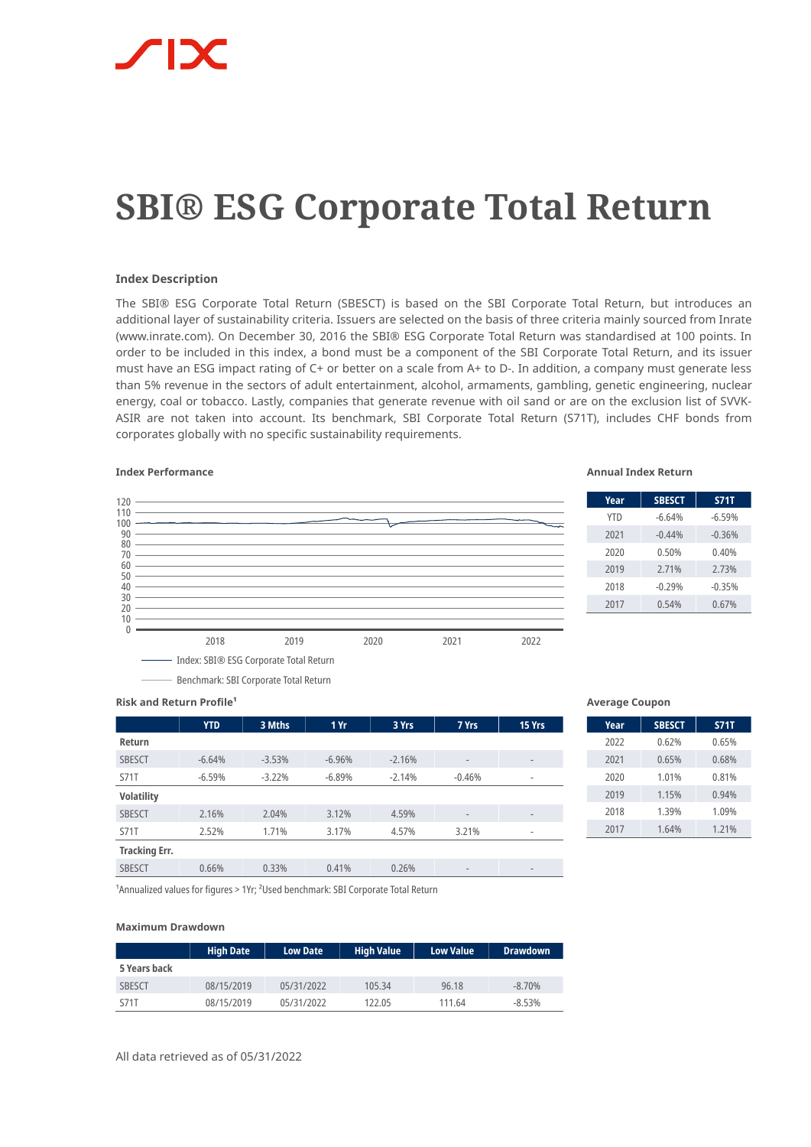# **SBI® ESG Corporate Total Return**

## **Index Description**

The SBI® ESG Corporate Total Return (SBESCT) is based on the SBI Corporate Total Return, but introduces an additional layer of sustainability criteria. Issuers are selected on the basis of three criteria mainly sourced from Inrate (www.inrate.com). On December 30, 2016 the SBI® ESG Corporate Total Return was standardised at 100 points. In order to be included in this index, a bond must be a component of the SBI Corporate Total Return, and its issuer must have an ESG impact rating of C+ or better on a scale from A+ to D-. In addition, a company must generate less than 5% revenue in the sectors of adult entertainment, alcohol, armaments, gambling, genetic engineering, nuclear energy, coal or tobacco. Lastly, companies that generate revenue with oil sand or are on the exclusion list of SVVK-ASIR are not taken into account. Its benchmark, SBI Corporate Total Return (S71T), includes CHF bonds from corporates globally with no specific sustainability requirements.



Benchmark: SBI Corporate Total Return

### **Index Performance Annual Index Return**

| Year       | <b>SBESCT</b> | <b>S71T</b> |
|------------|---------------|-------------|
| <b>YTD</b> | $-6.64%$      | $-6.59%$    |
| 2021       | $-0.44%$      | $-0.36%$    |
| 2020       | 0.50%         | 0.40%       |
| 2019       | 2.71%         | 2.73%       |
| 2018       | $-0.29%$      | $-0.35%$    |
| 2017       | 0.54%         | 0.67%       |
|            |               |             |

**Risk and Return Profile<sup>1</sup>** 

|                      | <b>YTD</b> | 3 Mths   | 1 Yr     | 3 Yrs    | 7 Yrs                    | 15 Yrs                       |
|----------------------|------------|----------|----------|----------|--------------------------|------------------------------|
| Return               |            |          |          |          |                          |                              |
| <b>SBESCT</b>        | $-6.64%$   | $-3.53%$ | $-6.96%$ | $-2.16%$ | $\overline{\phantom{a}}$ | -                            |
| <b>S71T</b>          | $-6.59%$   | $-3.22%$ | $-6.89%$ | $-2.14%$ | $-0.46%$                 | $\overline{\phantom{a}}$     |
| <b>Volatility</b>    |            |          |          |          |                          |                              |
| <b>SBESCT</b>        | 2.16%      | 2.04%    | 3.12%    | 4.59%    | $\overline{\phantom{a}}$ | $\qquad \qquad \blacksquare$ |
| <b>S71T</b>          | 2.52%      | 1.71%    | 3.17%    | 4.57%    | 3.21%                    | $\overline{\phantom{a}}$     |
| <b>Tracking Err.</b> |            |          |          |          |                          |                              |
| <b>SBESCT</b>        | 0.66%      | 0.33%    | 0.41%    | 0.26%    | $\overline{\phantom{a}}$ | $\qquad \qquad \blacksquare$ |

### **Average Coupon**

| Year | <b>SBESCT</b> | <b>S71T</b> |
|------|---------------|-------------|
| 2022 | 0.62%         | 0.65%       |
| 2021 | 0.65%         | 0.68%       |
| 2020 | 1.01%         | 0.81%       |
| 2019 | 1.15%         | 0.94%       |
| 2018 | 1.39%         | 1.09%       |
| 2017 | 1.64%         | 1.21%       |

<sup>1</sup> Annualized values for figures > 1Yr; <sup>2</sup> Used benchmark: SBI Corporate Total Return

### **Maximum Drawdown**

|               | <b>High Date</b> | <b>Low Date</b> | <b>High Value</b> | <b>Low Value</b> | <b>Drawdown</b> |
|---------------|------------------|-----------------|-------------------|------------------|-----------------|
| 5 Years back  |                  |                 |                   |                  |                 |
| <b>SBESCT</b> | 08/15/2019       | 05/31/2022      | 105.34            | 96.18            | $-8.70\%$       |
| S71T          | 08/15/2019       | 05/31/2022      | 122.05            | 111.64           | $-8.53%$        |

All data retrieved as of 05/31/2022